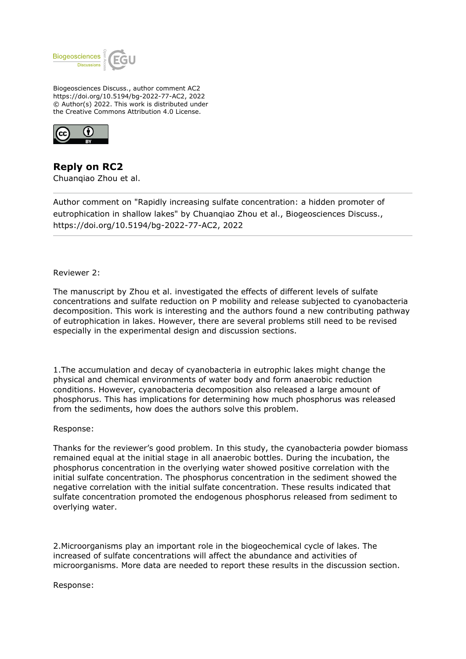

Biogeosciences Discuss., author comment AC2 https://doi.org/10.5194/bg-2022-77-AC2, 2022 © Author(s) 2022. This work is distributed under the Creative Commons Attribution 4.0 License.



**Reply on RC2** Chuanqiao Zhou et al.

Author comment on "Rapidly increasing sulfate concentration: a hidden promoter of eutrophication in shallow lakes" by Chuanqiao Zhou et al., Biogeosciences Discuss., https://doi.org/10.5194/bg-2022-77-AC2, 2022

Reviewer 2:

The manuscript by Zhou et al. investigated the effects of different levels of sulfate concentrations and sulfate reduction on P mobility and release subjected to cyanobacteria decomposition. This work is interesting and the authors found a new contributing pathway of eutrophication in lakes. However, there are several problems still need to be revised especially in the experimental design and discussion sections.

1.The accumulation and decay of cyanobacteria in eutrophic lakes might change the physical and chemical environments of water body and form anaerobic reduction conditions. However, cyanobacteria decomposition also released a large amount of phosphorus. This has implications for determining how much phosphorus was released from the sediments, how does the authors solve this problem.

Response:

Thanks for the reviewer's good problem. In this study, the cyanobacteria powder biomass remained equal at the initial stage in all anaerobic bottles. During the incubation, the phosphorus concentration in the overlying water showed positive correlation with the initial sulfate concentration. The phosphorus concentration in the sediment showed the negative correlation with the initial sulfate concentration. These results indicated that sulfate concentration promoted the endogenous phosphorus released from sediment to overlying water.

2.Microorganisms play an important role in the biogeochemical cycle of lakes. The increased of sulfate concentrations will affect the abundance and activities of microorganisms. More data are needed to report these results in the discussion section.

Response: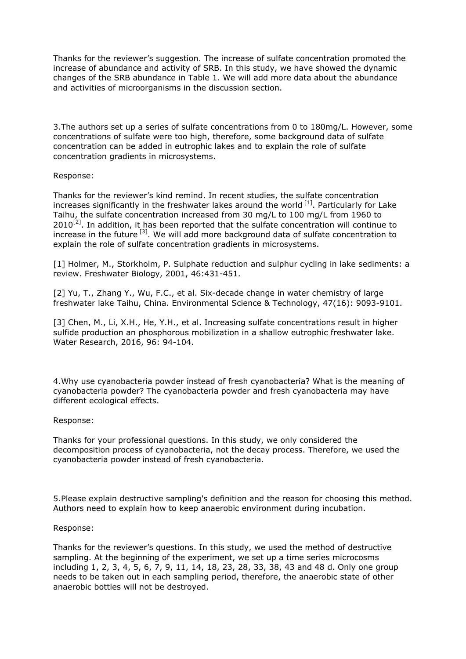Thanks for the reviewer's suggestion. The increase of sulfate concentration promoted the increase of abundance and activity of SRB. In this study, we have showed the dynamic changes of the SRB abundance in Table 1. We will add more data about the abundance and activities of microorganisms in the discussion section.

3.The authors set up a series of sulfate concentrations from 0 to 180mg/L. However, some concentrations of sulfate were too high, therefore, some background data of sulfate concentration can be added in eutrophic lakes and to explain the role of sulfate concentration gradients in microsystems.

# Response:

Thanks for the reviewer's kind remind. In recent studies, the sulfate concentration increases significantly in the freshwater lakes around the world  $^{[1]}$ . Particularly for Lake Taihu, the sulfate concentration increased from 30 mg/L to 100 mg/L from 1960 to  $2010^{[2]}$ . In addition, it has been reported that the sulfate concentration will continue to increase in the future  $^{[3]}$ . We will add more background data of sulfate concentration to explain the role of sulfate concentration gradients in microsystems.

[1] Holmer, M., Storkholm, P. Sulphate reduction and sulphur cycling in lake sediments: a review. Freshwater Biology, 2001, 46:431-451.

[2] Yu, T., Zhang Y., Wu, F.C., et al. Six-decade change in water chemistry of large freshwater lake Taihu, China. Environmental Science & Technology, 47(16): 9093-9101.

[3] Chen, M., Li, X.H., He, Y.H., et al. Increasing sulfate concentrations result in higher sulfide production an phosphorous mobilization in a shallow eutrophic freshwater lake. Water Research, 2016, 96: 94-104.

4.Why use cyanobacteria powder instead of fresh cyanobacteria? What is the meaning of cyanobacteria powder? The cyanobacteria powder and fresh cyanobacteria may have different ecological effects.

# Response:

Thanks for your professional questions. In this study, we only considered the decomposition process of cyanobacteria, not the decay process. Therefore, we used the cyanobacteria powder instead of fresh cyanobacteria.

5.Please explain destructive sampling's definition and the reason for choosing this method. Authors need to explain how to keep anaerobic environment during incubation.

# Response:

Thanks for the reviewer's questions. In this study, we used the method of destructive sampling. At the beginning of the experiment, we set up a time series microcosms including 1, 2, 3, 4, 5, 6, 7, 9, 11, 14, 18, 23, 28, 33, 38, 43 and 48 d. Only one group needs to be taken out in each sampling period, therefore, the anaerobic state of other anaerobic bottles will not be destroyed.